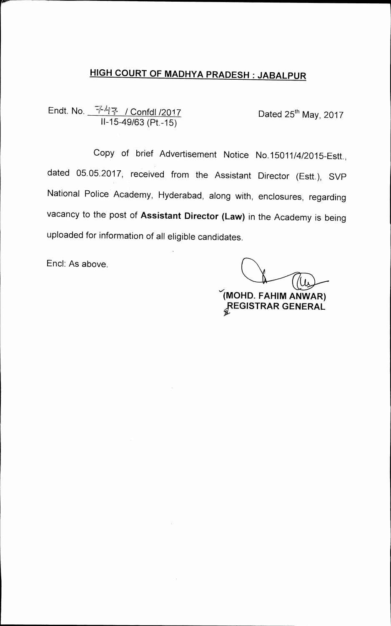## **HIGH COURT OF MADHYA PRADESH JABALPUR**

**Endt. No. / Confdl /2017 11-15-49/63 (Pt.-15)** 

Dated 25<sup>th</sup> May, 2017

**Copy of brief Advertisement Notice No.15011/4/2015-Estt., dated 05.05.2017, received from the Assistant Director (Estt.), SVP National Police Academy, Hyderabad, along with, enclosures, regarding vacancy to the post of Assistant Director (Law) in the Academy is being uploaded for information of all eligible candidates.** 

**End: As above.** 

**(MOND. FAHIM AN WAR) pEGISTRAR GENERAL**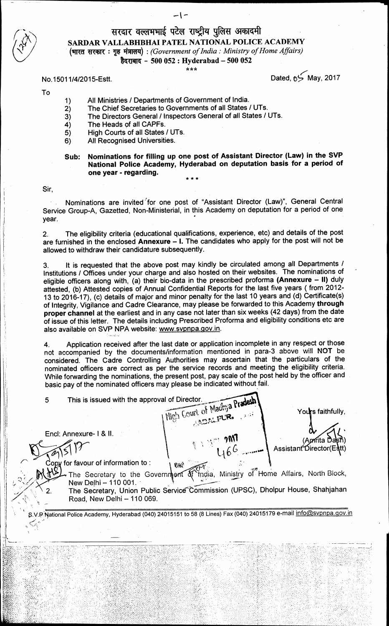## सरदार वल्लभभाई पटेल राष्ट्रीय पुलिस अकादमी **SARDAR VALLABHBHAI PATEL NATIONAL POLICE ACADEMY titcott : eiAmq) :** *(Government of India: Ministry of Home Affairs)*  **WIATI - 500 052 : Hyderabad — 500 052**

#### \*\*\*

#### **No.15011/4/2015-Estt.**

**Dated, 13'(May, 2017** 

#### **To**

- **1) All Ministries / Departments of Government of India.**
- **2) The Chief Secretaries to Governments of all States / UTs.**
- **3) The Directors General / Inspectors General of all States / UTs.**
- **4) The Heads of all CAPFs.**
- **5) High Courts of all States / UTs.**
- **6) All Recognised Universities.**
- **Sub: Nominations for filling up one post of Assistant Director (Law) in the SVP National Police Academy, Hyderabad on deputation basis for a period of one year - regarding.**  \* \* \*

**Sir,** 

**Nominations are invited 'for one post of "Assistant Director (Law)", General Central Service Group-A, Gazetted, Non-Ministerial, in this Academy on deputation for a period of one year.** 

**2. The eligibility criteria (educational qualifications, experience, etc) and details of the post are furnished in the enclosed Annexure — I. The candidates who apply for the post will not be allowed to withdraw their candidature subsequently.** 

3. It is requested that the above post may kindly be circulated among all Departments / **Institutions / Offices under your charge and also hosted on their websites. The nominations of eligible officers along with, (a) their bio-data in the prescribed proforma (Annexure — II) duly attested, (b) Attested copies of Annual Confidential Reports for the last five years ( from 2012- 13 to 2016-17), (c) details of major and minor penalty for the last 10 years and (d) Certificate(s) of Integrity, Vigilance and Cadre Clearance, may please be forwarded to this Academy through proper channel at the earliest and in any case not later than six weeks (42 days) from the date of issue of this letter. The details including Prescribed Proforma and eligibility conditions etc are**  also available on SVP NPA website: www.svpnpa.gov.in.

**4. Application received after the last date or application incomplete in any respect or those not accompanied by the documents/information mentioned in para-3 above will NOT be considered. The Cadre Controlling Authorities may ascertain that the particulars of the nominated officers are correct as per the service records and meeting the eligibility criteria. While forwarding the nominations, the present post, pay scale of the post held by the officer and basic pay of the nominated officers may please be indicated without fail.** 

**Find is issued with the approval of Director.**<br> **Madhya Pradesh 1 , Y s faithfully, YlIcj Coke oi ,, r End: Annexure- I & II. ?MI (Aprita** l Assistant *Director*(Eatt) **tA 6G for favour of information to:**  Ree **India, Ministry of Home Affairs, North Block, The Secretary to the Government of example Secretary to the Soveringent of inqual ministry of Fronce Analis, North Blook,**<br>New Delhi – 110 001.<br>The Secretary, Union Public Service Commission (UPSC), Dholpur House, Shahjahan **New Delhi — 110 001. - Road, New Delhi — 110 069. .V.P^tsjational Police Academy, Hyderabad (040) 24015151 to 58 (8 Lines) Fax (040) 24015179 e-mail infosvpnpa.gov.in**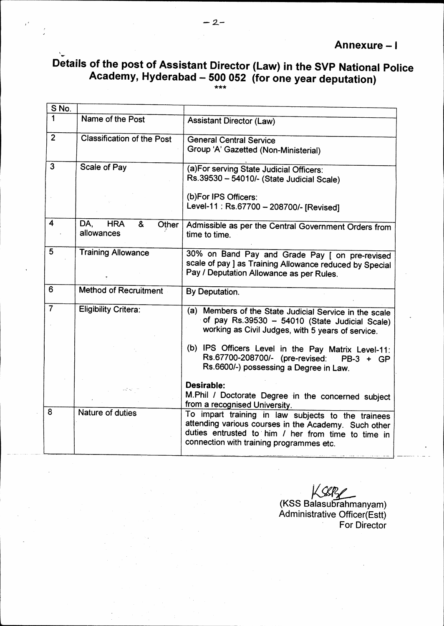# **Details of the post of Assistant Director (Law) in the SVP National Police Academy, Hyderabad — 500 052 (for one year deputation) \*\*\***

| S No.                   |                                   |                                                         |
|-------------------------|-----------------------------------|---------------------------------------------------------|
| 1                       |                                   |                                                         |
|                         | Name of the Post                  | <b>Assistant Director (Law)</b>                         |
| 2 <sup>1</sup>          | <b>Classification of the Post</b> | <b>General Central Service</b>                          |
|                         |                                   | Group 'A' Gazetted (Non-Ministerial)                    |
|                         |                                   |                                                         |
| $\overline{3}$          | Scale of Pay                      | (a) For serving State Judicial Officers:                |
|                         |                                   | Rs.39530 - 54010/- (State Judicial Scale)               |
|                         |                                   | (b)For IPS Officers:                                    |
|                         |                                   | Level-11: Rs.67700 - 208700/- [Revised]                 |
|                         |                                   |                                                         |
| $\overline{\mathbf{4}}$ | DA.<br><b>HRA</b><br>&<br>Other   | Admissible as per the Central Government Orders from    |
|                         | allowances                        | time to time.                                           |
|                         |                                   |                                                         |
| 5                       | <b>Training Allowance</b>         | 30% on Band Pay and Grade Pay [ on pre-revised          |
|                         |                                   | scale of pay ] as Training Allowance reduced by Special |
|                         |                                   | Pay / Deputation Allowance as per Rules.                |
|                         |                                   |                                                         |
| 6                       | <b>Method of Recruitment</b>      | By Deputation.                                          |
|                         |                                   |                                                         |
| $\overline{7}$          | <b>Eligibility Critera:</b>       | (a) Members of the State Judicial Service in the scale  |
|                         |                                   | of pay Rs.39530 - 54010 (State Judicial Scale)          |
|                         |                                   | working as Civil Judges, with 5 years of service.       |
|                         |                                   | (b) IPS Officers Level in the Pay Matrix Level-11:      |
|                         |                                   | Rs.67700-208700/- (pre-revised:<br>$PB-3 + GP$          |
|                         |                                   | Rs.6600/-) possessing a Degree in Law.                  |
|                         |                                   |                                                         |
|                         |                                   | Desirable:                                              |
|                         |                                   | M.Phil / Doctorate Degree in the concerned subject      |
|                         |                                   | from a recognised University.                           |
| 8                       | Nature of duties                  | To impart training in law subjects to the trainees      |
|                         |                                   | attending various courses in the Academy. Such other    |
|                         |                                   | duties entrusted to him / her from time to time in      |
|                         |                                   | connection with training programmes etc.                |
|                         |                                   |                                                         |

**(KSS Balasubrahmanyam) Administrative Officer(Estt) For Director**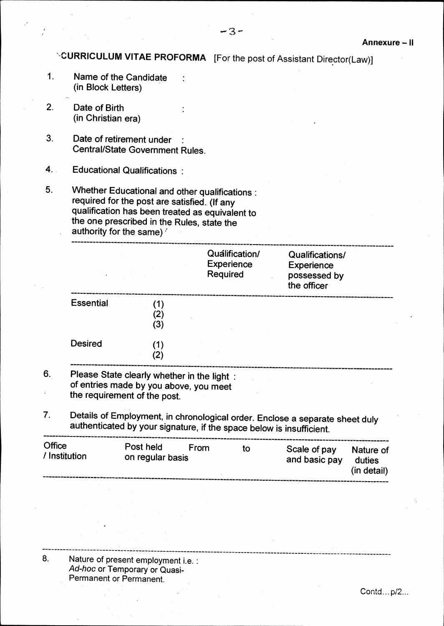**\-CURRICULUM VITAE PROFORMA [For the post of Assistant Director(Law)]** 

- **1. Name of the Candidate (in Block Letters)**
- **2. Date of Birth (in Christian era)**
- **3. Date of retirement under : Central/State Government Rules.**
- **4. Educational Qualifications :**
- **5. Whether Educational and other qualifications: required for the post are satisfied. (If any qualification has been treated as equivalent to the one prescribed in the Rules, state the authority for the same)**

|                  |                                  | Qualification/<br><b>Experience</b><br>Required | Qualifications/<br><b>Experience</b><br>possessed by<br>the officer |
|------------------|----------------------------------|-------------------------------------------------|---------------------------------------------------------------------|
| <b>Essential</b> | - 12<br>$\left( 2\right)$<br>(3) |                                                 |                                                                     |
| <b>Desired</b>   | 2)                               |                                                 |                                                                     |

- **6. Please State clearly whether in the light : of entries made by you above, you meet the requirement of the post.**
- **7. Details of Employment, in chronological order. Enclose a separate sheet duly authenticated by your signature, if the space below is insufficient.**

| Office<br>/ Institution | Post held<br>on regular basis | From | tΟ | Scale of pay<br>and basic pay | Nature of<br>duties<br>(in detail) |  |  |  |
|-------------------------|-------------------------------|------|----|-------------------------------|------------------------------------|--|--|--|
|                         |                               |      |    |                               |                                    |  |  |  |
|                         |                               |      |    |                               |                                    |  |  |  |

**8. Nature of present employment i.e. :**  *Ad-hoc* **or Temporary or** Quasi **Permanent or Permanent.**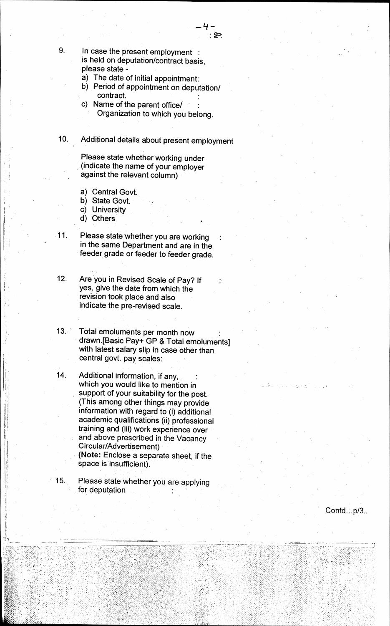- **9. In case the present employment is held on deputation/contract basis, please state** 
	- **a) The date of initial appointment:**
	- **b) Period of appointment on deputation/ contract.**
	- **c) Name of the parent office/ : Organization to which you belong.**

## **10. Additional details about present employment**

- **Please state whether working under (indicate the name of your employer against the relevant column)**
- **a) Central Govt.**
- **b) State Govt.**
- **c) University**
- **d) Others**
- 

**11. Please state whether you are working : in the same Department and are in the feeder grade or feeder to feeder grade.** 

- **12. Are you in Revised Scale of Pay? If yes, give the date from which the revision took place and also indicate the pre-revised scale.**
- **13. Total emoluments per month now drawn.[Basic Pay+ GP & Total emoluments] with latest salary slip in case other than central govt. pay scales:**
- 14. Additional information, if any, **which you would like to mention in support of your suitability for the post. (This among other things may provide**  information with regard to (i) additional **academic qualifications (ii) professional training and (iii) work experience over • and above prescribed in the Vacancy Circular/Advertisement) \_ (Note: Enclose a separate sheet, if the space is insufficient).**
- **15. Please state whether you are applying for deputation**

**Contd...p/3..** 

*.11*